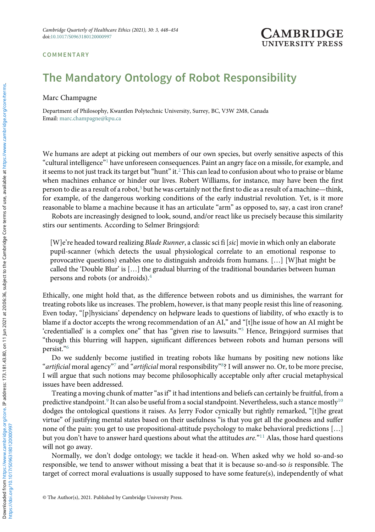## **COMMENTARY**

## **ARRIDO UNIVERSITY PRESS**

## The Mandatory Ontology of Robot Responsibility

Marc Champagne

Department of Philosophy, Kwantlen Polytechnic University, Surrey, BC, V3W 2M8, Canada Email: [marc.champagne@kpu.ca](mailto:marc.champagne@kpu.ca)

We humans are adept at picking out members of our own species, but overly sensitive aspects of this "cultural intelligence"[1](#page-5-0) have unforeseen consequences. Paint an angry face on a missile, for example, and it seems to not just track its target but "hunt" it.<sup>[2](#page-5-0)</sup> This can lead to confusion about who to praise or blame when machines enhance or hinder our lives. Robert Williams, for instance, may have been the first person to die as a result of a robot,<sup>3</sup> but he was certainly not the first to die as a result of a machine—think, for example, of the dangerous working conditions of the early industrial revolution. Yet, is it more reasonable to blame a machine because it has an articulate "arm" as opposed to, say, a cast iron crane?

Robots are increasingly designed to look, sound, and/or react like us precisely because this similarity stirs our sentiments. According to Selmer Bringsjord:

[W]e're headed toward realizing *Blade Runner*, a classic sci fi [sic] movie in which only an elaborate pupil-scanner (which detects the usual physiological correlate to an emotional response to provocative questions) enables one to distinguish androids from humans. […] [W]hat might be called the 'Double Blur' is […] the gradual blurring of the traditional boundaries between human persons and robots (or androids).[4](#page-5-0)

Ethically, one might hold that, as the difference between robots and us diminishes, the warrant for treating robots like us increases. The problem, however, is that many people resist this line of reasoning. Even today, "[p]hysicians' dependency on helpware leads to questions of liability, of who exactly is to blame if a doctor accepts the wrong recommendation of an AI," and "[t]he issue of how an AI might be 'credentialled' is a complex one" that has "given rise to lawsuits."[5](#page-5-0) Hence, Bringsjord surmises that "though this blurring will happen, significant differences between robots and human persons will persist."[6](#page-5-0)

Do we suddenly become justified in treating robots like humans by positing new notions like "artificial moral agency"<sup>[7](#page-5-0)</sup> and "artificial moral responsibility" ?? I will answer no. Or, to be more precise, I will argue that such notions may become philosophically acceptable only after crucial metaphysical issues have been addressed.

Treating a moving chunk of matter"as if"it had intentions and beliefs can certainly be fruitful, from a predictive standpoint.<sup>[9](#page-5-0)</sup> It can also be useful from a social standpoint. Nevertheless, such a stance mostly<sup>10</sup> dodges the ontological questions it raises. As Jerry Fodor cynically but rightly remarked, "[t]he great virtue" of justifying mental states based on their usefulness "is that you get all the goodness and suffer none of the pain: you get to use propositional-attitude psychology to make behavioral predictions […] but you don't have to answer hard questions about what the attitudes  $are.^{n+1}$  Alas, those hard questions will not go away.

Normally, we don't dodge ontology; we tackle it head-on. When asked why we hold so-and-so responsible, we tend to answer without missing a beat that it is because so-and-so is responsible. The target of correct moral evaluations is usually supposed to have some feature(s), independently of what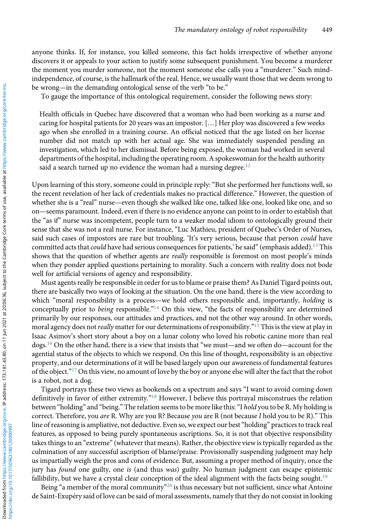anyone thinks. If, for instance, you killed someone, this fact holds irrespective of whether anyone discovers it or appeals to your action to justify some subsequent punishment. You become a murderer the moment you murder someone, not the moment someone else calls you a "murderer." Such mindindependence, of course, is the hallmark of the real. Hence, we usually want those that we deem wrong to be wrong—in the demanding ontological sense of the verb "to be."

To gauge the importance of this ontological requirement, consider the following news story:

Health officials in Quebec have discovered that a woman who had been working as a nurse and caring for hospital patients for 20 years was an impostor. […] Her ploy was discovered a few weeks ago when she enrolled in a training course. An official noticed that the age listed on her license number did not match up with her actual age. She was immediately suspended pending an investigation, which led to her dismissal. Before being exposed, the woman had worked in several departments of the hospital, including the operating room. A spokeswoman for the health authority said a search turned up no evidence the woman had a nursing degree. $12$ 

Upon learning of this story, someone could in principle reply: "But she performed her functions well, so the recent revelation of her lack of credentials makes no practical difference." However, the question of whether she is a "real" nurse—even though she walked like one, talked like one, looked like one, and so on—seems paramount. Indeed, even if there is no evidence anyone can point to in order to establish that the "as if" nurse was incompetent, people turn to a weaker modal idiom to ontologically ground their sense that she was not a real nurse. For instance, "Luc Mathieu, president of Quebec's Order of Nurses, said such cases of impostors are rare but troubling. 'It's very serious, because that person *could* have committed acts that *could* have had serious consequences for patients,' he said" (emphasis added).<sup>[13](#page-5-0)</sup> This shows that the question of whether agents are really responsible is foremost on most people's minds when they ponder applied questions pertaining to morality. Such a concern with reality does not bode well for artificial versions of agency and responsibility.

Must agents really be responsible in order for us to blame or praise them? As Daniel Tigard points out, there are basically two ways of looking at the situation. On the one hand, there is the view according to which "moral responsibility is a process—we hold others responsible and, importantly, *holding* is conceptually prior to being responsible."[14](#page-5-0) On this view, "the facts of responsibility are determined primarily by our responses, our attitudes and practices, and not the other way around. In other words, moral agency does not *really* matter for our determinations of responsibility."<sup>[15](#page-5-0)</sup> This is the view at play in Isaac Asimov's short story about a boy on a lunar colony who loved his robotic canine more than real dogs.[16](#page-5-0) On the other hand, there is a view that insists that "we must—and we often do—account for the agential status of the objects to which we respond. On this line of thought, responsibility is an objective property, and our determinations of it will be based largely upon our awareness of fundamental features of the object."[17](#page-5-0) On this view, no amount of love by the boy or anyone else will alter the fact that the robot is a robot, not a dog.

Tigard portrays these two views as bookends on a spectrum and says "I want to avoid coming down definitively in favor of either extremity."[18](#page-5-0) However, I believe this portrayal misconstrues the relation between "holding" and "being." The relation seems to be more like this: "I hold you to be R. My holding is correct. Therefore, you are R. Why are you R? Because you are R (not because I hold you to be R)." This line of reasoning is ampliative, not deductive. Even so, we expect our best"holding" practices to track real features, as opposed to being purely spontaneous ascriptions. So, it is not that objective responsibility takes things to an "extreme"(whatever that means). Rather, the objective view is typically regarded as the culmination of any successful ascription of blame/praise. Provisionally suspending judgment may help us impartially weigh the pros and cons of evidence. But, assuming a proper method of inquiry, once the jury has *found* one guilty, one *is* (and thus *was*) guilty. No human judgment can escape epistemic fallibility, but we have a crystal clear conception of the ideal alignment with the facts being sought.<sup>[19](#page-5-0)</sup>

Being "a member of the moral community"<sup>[20](#page-5-0)</sup> is thus necessary but not sufficient, since what Antoine de Saint-Exupéry said of love can be said of moral assessments, namely that they do not consist in looking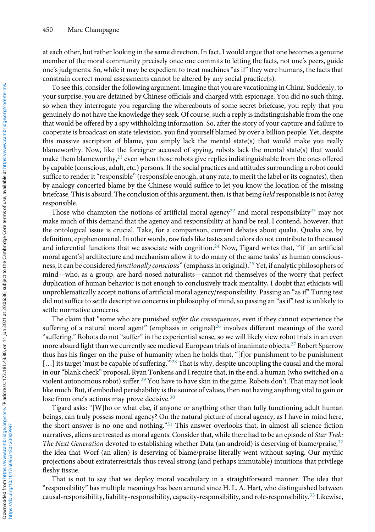at each other, but rather looking in the same direction. In fact, I would argue that one becomes a genuine member of the moral community precisely once one commits to letting the facts, not one's peers, guide one's judgments. So, while it may be expedient to treat machines "as if" they were humans, the facts that constrain correct moral assessments cannot be altered by any social practice(s).

To see this, consider the following argument. Imagine that you are vacationing in China. Suddenly, to your surprise, you are detained by Chinese officials and charged with espionage. You did no such thing, so when they interrogate you regarding the whereabouts of some secret briefcase, you reply that you genuinely do not have the knowledge they seek. Of course, such a reply is indistinguishable from the one that would be offered by a spy withholding information. So, after the story of your capture and failure to cooperate is broadcast on state television, you find yourself blamed by over a billion people. Yet, despite this massive ascription of blame, you simply lack the mental state(s) that would make you really blameworthy. Now, like the foreigner accused of spying, robots lack the mental state(s) that would make them blameworthy, $2^1$  even when those robots give replies indistinguishable from the ones offered by capable (conscious, adult, etc.) persons. If the social practices and attitudes surrounding a robot could suffice to render it "responsible" (responsible enough, at any rate, to merit the label or its cognates), then by analogy concerted blame by the Chinese would suffice to let you know the location of the missing briefcase. This is absurd. The conclusion of this argument, then, is that being held responsible is not being responsible.

Those who champion the notions of artificial moral agency<sup>[22](#page-5-0)</sup> and moral responsibility<sup>[23](#page-5-0)</sup> may not make much of this demand that the agency and responsibility at hand be real. I contend, however, that the ontological issue is crucial. Take, for a comparison, current debates about qualia. Qualia are, by definition, epiphenomenal. In other words, raw feels like tastes and colors do not contribute to the causal and inferential functions that we associate with cognition.<sup>[24](#page-5-0)</sup> Now, Tigard writes that, "'if [an artificial moral agent's] architecture and mechanism allow it to do many of the same tasks' as human consciousness, it can be considered functionally conscious"(emphasis in original).[25](#page-5-0) Yet, if analytic philosophers of mind—who, as a group, are hard-nosed naturalists—cannot rid themselves of the worry that perfect duplication of human behavior is not enough to conclusively track mentality, I doubt that ethicists will unproblematically accept notions of artificial moral agency/responsibility. Passing an "as if" Turing test did not suffice to settle descriptive concerns in philosophy of mind, so passing an "as if" test is unlikely to settle normative concerns.

The claim that "some who are punished *suffer the consequences*, even if they cannot experience the suffering of a natural moral agent" (emphasis in original)<sup>[26](#page-5-0)</sup> involves different meanings of the word "suffering." Robots do not "suffer" in the experiential sense, so we will likely view robot trials in an even more absurd light than we currently see medieval European trials of inanimate objects.<sup>[27](#page-5-0)</sup> Robert Sparrow thus has his finger on the pulse of humanity when he holds that, "[f]or punishment to be punishment [...] its target 'must be capable of suffering."<sup>[28](#page-5-0)</sup> That is why, despite uncoupling the causal and the moral in our"blank check" proposal, Ryan Tonkens and I require that, in the end, a human (who switched on a violent autonomous robot) suffer.[29](#page-5-0) You have to have skin in the game. Robots don't. That may not look like much. But, if embodied perishability is the source of values, then not having anything vital to gain or lose from one's actions may prove decisive.<sup>[30](#page-5-0)</sup>

Tigard asks: "[W]ho or what else, if anyone or anything other than fully functioning adult human beings, can truly possess moral agency? On the natural picture of moral agency, as I have in mind here, the short answer is no one and nothing."<sup>[31](#page-6-0)</sup> This answer overlooks that, in almost all science fiction narratives, aliens are treated as moral agents. Consider that, while there had to be an episode of Star Trek: The Next Generation devoted to establishing whether Data (an android) is deserving of blame/praise, <sup>[32](#page-6-0)</sup> the idea that Worf (an alien) is deserving of blame/praise literally went without saying. Our mythic projections about extraterrestrials thus reveal strong (and perhaps immutable) intuitions that privilege fleshy tissue.

That is not to say that we deploy moral vocabulary in a straightforward manner. The idea that "responsibility" has multiple meanings has been around since H. L. A. Hart, who distinguished between causal-responsibility, liability-responsibility, capacity-responsibility, and role-responsibility.[33](#page-6-0) Likewise,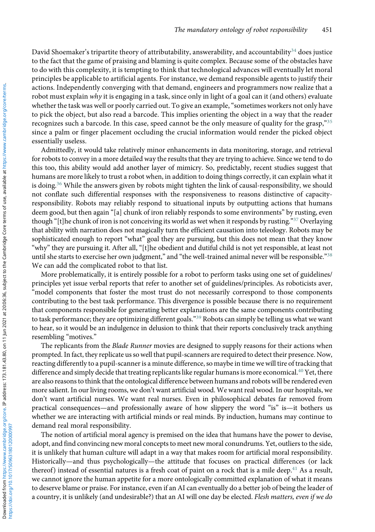David Shoemaker's tripartite theory of attributability, answerability, and accountability<sup>[34](#page-6-0)</sup> does justice to the fact that the game of praising and blaming is quite complex. Because some of the obstacles have to do with this complexity, it is tempting to think that technological advances will eventually let moral principles be applicable to artificial agents. For instance, we demand responsible agents to justify their actions. Independently converging with that demand, engineers and programmers now realize that a robot must explain why it is engaging in a task, since only in light of a goal can it (and others) evaluate whether the task was well or poorly carried out. To give an example, "sometimes workers not only have to pick the object, but also read a barcode. This implies orienting the object in a way that the reader recognizes such a barcode. In this case, speed cannot be the only measure of quality for the grasp,"[35](#page-6-0) since a palm or finger placement occluding the crucial information would render the picked object essentially useless.

Admittedly, it would take relatively minor enhancements in data monitoring, storage, and retrieval for robots to convey in a more detailed way the results that they are trying to achieve. Since we tend to do this too, this ability would add another layer of mimicry. So, predictably, recent studies suggest that humans are more likely to trust a robot when, in addition to doing things correctly, it can explain what it is doing.<sup>[36](#page-6-0)</sup> While the answers given by robots might tighten the link of causal-responsibility, we should not conflate such differential responses with the responsiveness to reasons distinctive of capacityresponsibility. Robots may reliably respond to situational inputs by outputting actions that humans deem good, but then again "[a] chunk of iron reliably responds to some environments" by rusting, even though "[t]he chunk of iron is not conceiving its world as wet when it responds by rusting."[37](#page-6-0) Overlaying that ability with narration does not magically turn the efficient causation into teleology. Robots may be sophisticated enough to report "what" goal they are pursuing, but this does not mean that they know "why" they are pursuing it. After all, "[t]he obedient and dutiful child is not yet responsible, at least not until she starts to exercise her own judgment," and "the well-trained animal never will be responsible."<sup>[38](#page-6-0)</sup> We can add the complicated robot to that list.

More problematically, it is entirely possible for a robot to perform tasks using one set of guidelines/ principles yet issue verbal reports that refer to another set of guidelines/principles. As roboticists aver, "model components that foster the most trust do not necessarily correspond to those components contributing to the best task performance. This divergence is possible because there is no requirement that components responsible for generating better explanations are the same components contributing to task performance; they are optimizing different goals."[39](#page-6-0) Robots can simply be telling us what we want to hear, so it would be an indulgence in delusion to think that their reports conclusively track anything resembling "motives."

The replicants from the Blade Runner movies are designed to supply reasons for their actions when prompted. In fact, they replicate us so well that pupil-scanners are required to detect their presence. Now, reacting differently to a pupil-scanner is a minute difference, so maybe in time we will tire of tracking that difference and simply decide that treating replicants like regular humans is more economical.<sup>[40](#page-6-0)</sup> Yet, there are also reasons to think that the ontological difference between humans and robots will be rendered even more salient. In our living rooms, we don't want artificial wood. We want real wood. In our hospitals, we don't want artificial nurses. We want real nurses. Even in philosophical debates far removed from practical consequences—and professionally aware of how slippery the word "is" is—it bothers us whether we are interacting with artificial minds or real minds. By induction, humans may continue to demand real moral responsibility.

The notion of artificial moral agency is premised on the idea that humans have the power to devise, adopt, and find convincing new moral concepts to meet new moral conundrums. Yet, outliers to the side, it is unlikely that human culture will adapt in a way that makes room for artificial moral responsibility. Historically—and thus psychologically—the attitude that focuses on practical differences (or lack thereof) instead of essential natures is a fresh coat of paint on a rock that is a mile deep.<sup>[41](#page-6-0)</sup> As a result, we cannot ignore the human appetite for a more ontologically committed explanation of what it means to deserve blame or praise. For instance, even if an AI can eventually do a better job of being the leader of a country, it is unlikely (and undesirable?) that an AI will one day be elected. Flesh matters, even if we do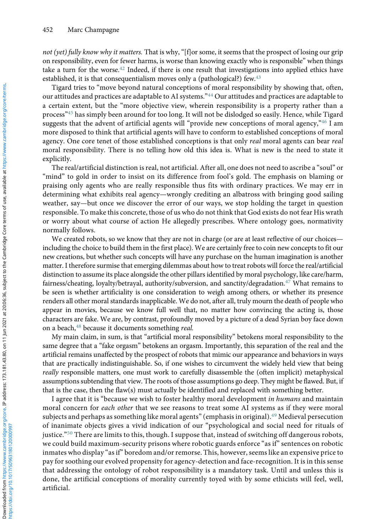not (yet) fully know why it matters. That is why, "[f]or some, it seems that the prospect of losing our grip on responsibility, even for fewer harms, is worse than knowing exactly who is responsible" when things take a turn for the worse. $42$  Indeed, if there is one result that investigations into applied ethics have established, it is that consequentialism moves only a (pathological?) few.<sup>[43](#page-6-0)</sup>

Tigard tries to "move beyond natural conceptions of moral responsibility by showing that, often, our attitudes and practices are adaptable to AI systems."[44](#page-6-0) Our attitudes and practices are adaptable to a certain extent, but the "more objective view, wherein responsibility is a property rather than a process"[45](#page-6-0) has simply been around for too long. It will not be dislodged so easily. Hence, while Tigard suggests that the advent of artificial agents will "provide new conceptions of moral agency,"[46](#page-6-0) I am more disposed to think that artificial agents will have to conform to established conceptions of moral agency. One core tenet of those established conceptions is that only real moral agents can bear real moral responsibility. There is no telling how old this idea is. What is new is the need to state it explicitly.

The real/artificial distinction is real, not artificial. After all, one does not need to ascribe a "soul" or "mind" to gold in order to insist on its difference from fool's gold. The emphasis on blaming or praising only agents who are really responsible thus fits with ordinary practices. We may err in determining what exhibits real agency—wrongly crediting an albatross with bringing good sailing weather, say—but once we discover the error of our ways, we stop holding the target in question responsible. To make this concrete, those of us who do not think that God exists do not fear His wrath or worry about what course of action He allegedly prescribes. Where ontology goes, normativity normally follows.

We created robots, so we know that they are not in charge (or are at least reflective of our choices including the choice to build them in the first place). We are certainly free to coin new concepts to fit our new creations, but whether such concepts will have any purchase on the human imagination is another matter. I therefore surmise that emerging dilemmas about how to treat robots will force the real/artificial distinction to assume its place alongside the other pillars identified by moral psychology, like care/harm, fairness/cheating, loyalty/betrayal, authority/subversion, and sanctity/degradation.[47](#page-6-0) What remains to be seen is whether artificiality is one consideration to weigh among others, or whether its presence renders all other moral standards inapplicable. We do not, after all, truly mourn the death of people who appear in movies, because we know full well that, no matter how convincing the acting is, those characters are fake. We are, by contrast, profoundly moved by a picture of a dead Syrian boy face down on a beach,<sup>[48](#page-6-0)</sup> because it documents something real.

My main claim, in sum, is that "artificial moral responsibility" betokens moral responsibility to the same degree that a "fake orgasm" betokens an orgasm. Importantly, this separation of the real and the artificial remains unaffected by the prospect of robots that mimic our appearance and behaviors in ways that are practically indistinguishable. So, if one wishes to circumvent the widely held view that being really responsible matters, one must work to carefully disassemble the (often implicit) metaphysical assumptions subtending that view. The roots of those assumptions go deep. They might be flawed. But, if that is the case, then the flaw(s) must actually be identified and replaced with something better.

I agree that it is "because we wish to foster healthy moral development in humans and maintain moral concern for each other that we see reasons to treat some AI systems as if they were moral subjects and perhaps as something like moral agents"(emphasis in original).[49](#page-6-0) Medieval persecution of inanimate objects gives a vivid indication of our "psychological and social need for rituals of justice."[50](#page-6-0) There are limits to this, though. I suppose that, instead of switching off dangerous robots, we could build maximum-security prisons where robotic guards enforce "as if" sentences on robotic inmates who display "as if" boredom and/or remorse. This, however, seems like an expensive price to pay for soothing our evolved propensity for agency-detection and face-recognition. It is in this sense that addressing the ontology of robot responsibility is a mandatory task. Until and unless this is done, the artificial conceptions of morality currently toyed with by some ethicists will feel, well, artificial.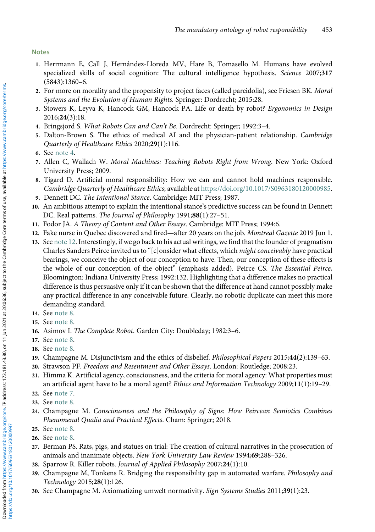## <span id="page-5-0"></span>Notes

- 1. Herrmann E, Call J, Hernández-Lloreda MV, Hare B, Tomasello M. Humans have evolved specialized skills of social cognition: The cultural intelligence hypothesis. Science 2007;317 (5843):1360–6.
- 2. For more on morality and the propensity to project faces (called pareidolia), see Friesen BK. Moral Systems and the Evolution of Human Rights. Springer: Dordrecht; 2015:28.
- 3. Stowers K, Leyva K, Hancock GM, Hancock PA. Life or death by robot? Ergonomics in Design 2016;24(3):18.
- 4. Bringsjord S. What Robots Can and Can't Be. Dordrecht: Springer; 1992:3–4.
- 5. Dalton-Brown S. The ethics of medical AI and the physician-patient relationship. Cambridge Quarterly of Healthcare Ethics 2020;29(1):116.
- 6. See note 4.
- 7. Allen C, Wallach W. Moral Machines: Teaching Robots Right from Wrong. New York: Oxford University Press; 2009.
- 8. Tigard D. Artificial moral responsibility: How we can and cannot hold machines responsible. Cambridge Quarterly of Healthcare Ethics; available at <https://doi.org/10.1017/S0963180120000985>.
- 9. Dennett DC. The Intentional Stance. Cambridge: MIT Press; 1987.
- 10. An ambitious attempt to explain the intentional stance's predictive success can be found in Dennett DC. Real patterns. The Journal of Philosophy 1991;88(1):27–51.
- 11. Fodor JA. A Theory of Content and Other Essays. Cambridge: MIT Press; 1994:6.
- 12. Fake nurse in Quebec discovered and fired—after 20 years on the job. Montreal Gazette 2019 Jun 1.
- 13. See note 12. Interestingly, if we go back to his actual writings, we find that the founder of pragmatism Charles Sanders Peirce invited us to "[c]onsider what effects, which might conceivably have practical bearings, we conceive the object of our conception to have. Then, our conception of these effects is the whole of our conception of the object" (emphasis added). Peirce CS. The Essential Peirce, Bloomington: Indiana University Press; 1992:132. Highlighting that a difference makes no practical difference is thus persuasive only if it can be shown that the difference at hand cannot possibly make any practical difference in any conceivable future. Clearly, no robotic duplicate can meet this more demanding standard.
- 14. See note 8.
- 15. See note 8.
- 16. Asimov I. The Complete Robot. Garden City: Doubleday; 1982:3–6.
- 17. See note 8.
- 18. See note 8.
- 19. Champagne M. Disjunctivism and the ethics of disbelief. Philosophical Papers 2015;44(2):139–63.
- 20. Strawson PF. Freedom and Resentment and Other Essays. London: Routledge; 2008:23.
- 21. Himma K. Artificial agency, consciousness, and the criteria for moral agency: What properties must an artificial agent have to be a moral agent? Ethics and Information Technology 2009;11(1):19-29.
- 22. See note 7.
- 23. See note 8.
- 24. Champagne M. Consciousness and the Philosophy of Signs: How Peircean Semiotics Combines Phenomenal Qualia and Practical Effects. Cham: Springer; 2018.
- 25. See note 8.
- 26. See note 8.
- 27. Berman PS. Rats, pigs, and statues on trial: The creation of cultural narratives in the prosecution of animals and inanimate objects. New York University Law Review 1994;69:288–326.
- 28. Sparrow R. Killer robots. Journal of Applied Philosophy 2007;24(1):10.
- 29. Champagne M, Tonkens R. Bridging the responsibility gap in automated warfare. Philosophy and Technology 2015;28(1):126.
- 30. See Champagne M. Axiomatizing umwelt normativity. Sign Systems Studies 2011;39(1):23.